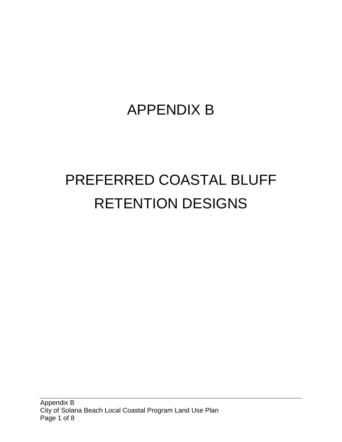## APPENDIX B

## PREFERRED COASTAL BLUFF RETENTION DESIGNS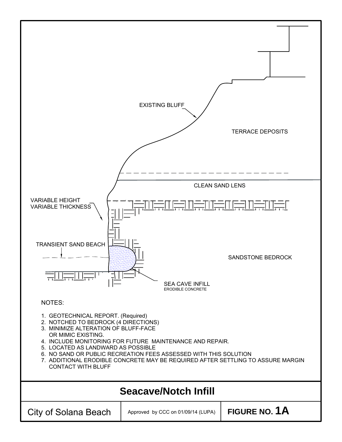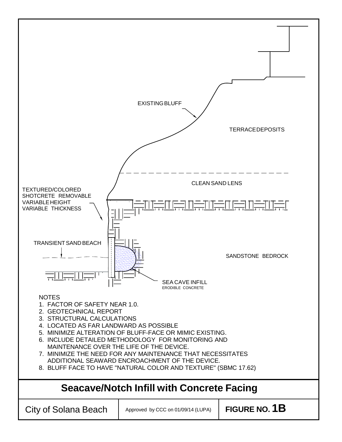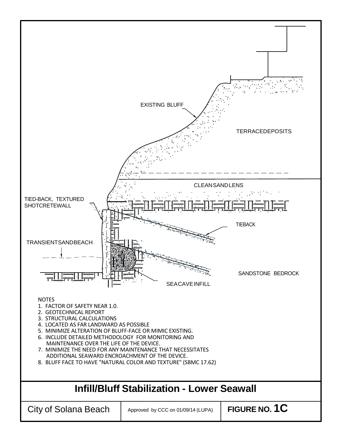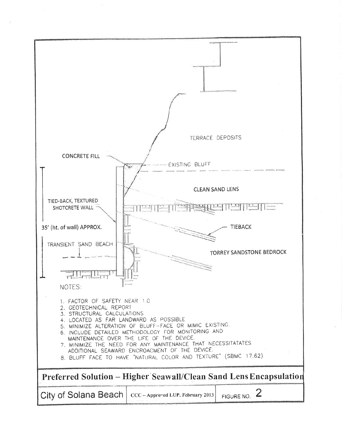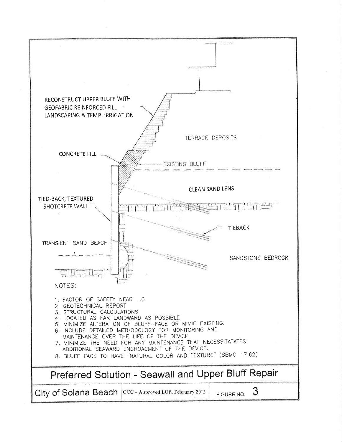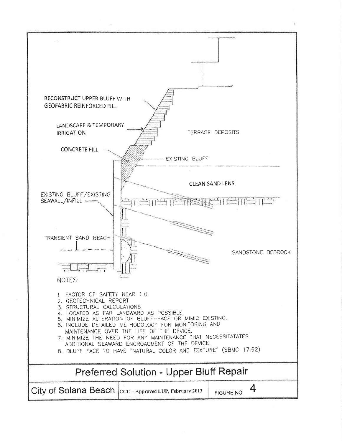